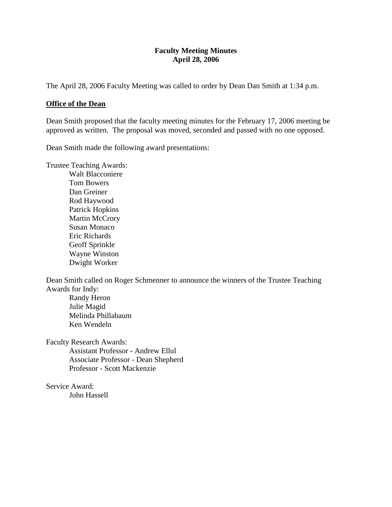### **Faculty Meeting Minutes April 28, 2006**

The April 28, 2006 Faculty Meeting was called to order by Dean Dan Smith at 1:34 p.m.

#### **Office of the Dean**

Dean Smith proposed that the faculty meeting minutes for the February 17, 2006 meeting be approved as written. The proposal was moved, seconded and passed with no one opposed.

Dean Smith made the following award presentations:

Trustee Teaching Awards:

Walt Blacconiere Tom Bowers Dan Greiner Rod Haywood Patrick Hopkins Martin McCrory Susan Monaco Eric Richards Geoff Sprinkle Wayne Winston Dwight Worker

Dean Smith called on Roger Schmenner to announce the winners of the Trustee Teaching Awards for Indy:

Randy Heron Julie Magid Melinda Phillabaum Ken Wendeln

Faculty Research Awards:

Assistant Professor - Andrew Ellul Associate Professor - Dean Shepherd Professor - Scott Mackenzie

Service Award: John Hassell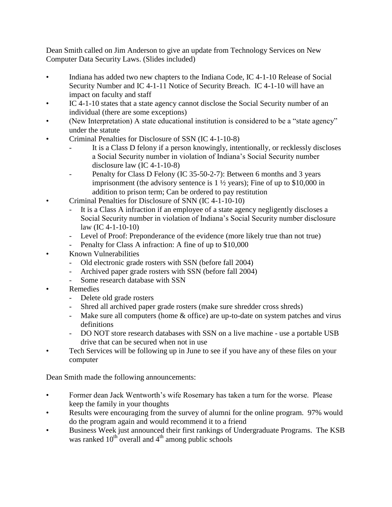Dean Smith called on Jim Anderson to give an update from Technology Services on New Computer Data Security Laws. (Slides included)

- Indiana has added two new chapters to the Indiana Code, IC 4-1-10 Release of Social Security Number and IC 4-1-11 Notice of Security Breach. IC 4-1-10 will have an impact on faculty and staff
- IC 4-1-10 states that a state agency cannot disclose the Social Security number of an individual (there are some exceptions)
- (New Interpretation) A state educational institution is considered to be a "state agency" under the statute
- Criminal Penalties for Disclosure of SSN (IC 4-1-10-8)
	- It is a Class D felony if a person knowingly, intentionally, or recklessly discloses a Social Security number in violation of Indiana's Social Security number disclosure law (IC 4-1-10-8)
	- Penalty for Class D Felony (IC 35-50-2-7): Between 6 months and 3 years imprisonment (the advisory sentence is  $1\frac{1}{2}$  years); Fine of up to \$10,000 in addition to prison term; Can be ordered to pay restitution
- Criminal Penalties for Disclosure of SNN (IC 4-1-10-10)
	- It is a Class A infraction if an employee of a state agency negligently discloses a Social Security number in violation of Indiana's Social Security number disclosure law (IC 4-1-10-10)
	- Level of Proof: Preponderance of the evidence (more likely true than not true)
	- Penalty for Class A infraction: A fine of up to \$10,000
- Known Vulnerabilities
	- Old electronic grade rosters with SSN (before fall 2004)
	- Archived paper grade rosters with SSN (before fall 2004)
	- Some research database with SSN
- Remedies
	- Delete old grade rosters
	- Shred all archived paper grade rosters (make sure shredder cross shreds)
	- Make sure all computers (home  $\&$  office) are up-to-date on system patches and virus definitions
	- DO NOT store research databases with SSN on a live machine use a portable USB drive that can be secured when not in use
- Tech Services will be following up in June to see if you have any of these files on your computer

Dean Smith made the following announcements:

- Former dean Jack Wentworth's wife Rosemary has taken a turn for the worse. Please keep the family in your thoughts
- Results were encouraging from the survey of alumni for the online program. 97% would do the program again and would recommend it to a friend
- Business Week just announced their first rankings of Undergraduate Programs. The KSB was ranked  $10^{th}$  overall and  $4^{th}$  among public schools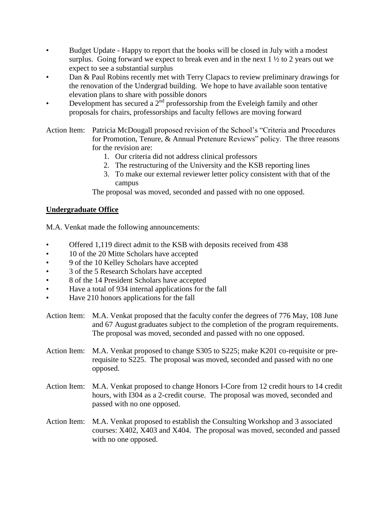- Budget Update Happy to report that the books will be closed in July with a modest surplus. Going forward we expect to break even and in the next  $1 \frac{1}{2}$  to 2 years out we expect to see a substantial surplus
- Dan & Paul Robins recently met with Terry Clapacs to review preliminary drawings for the renovation of the Undergrad building. We hope to have available soon tentative elevation plans to share with possible donors
- Development has secured a  $2<sup>nd</sup>$  professorship from the Eveleigh family and other proposals for chairs, professorships and faculty fellows are moving forward

Action Item: Patricia McDougall proposed revision of the School's "Criteria and Procedures for Promotion, Tenure, & Annual Pretenure Reviews" policy. The three reasons for the revision are:

- 1. Our criteria did not address clinical professors
- 2. The restructuring of the University and the KSB reporting lines
- 3. To make our external reviewer letter policy consistent with that of the campus

The proposal was moved, seconded and passed with no one opposed.

# **Undergraduate Office**

M.A. Venkat made the following announcements:

- Offered 1,119 direct admit to the KSB with deposits received from 438
- 10 of the 20 Mitte Scholars have accepted
- 9 of the 10 Kelley Scholars have accepted
- 3 of the 5 Research Scholars have accepted
- 8 of the 14 President Scholars have accepted
- Have a total of 934 internal applications for the fall
- Have 210 honors applications for the fall
- Action Item: M.A. Venkat proposed that the faculty confer the degrees of 776 May, 108 June and 67 August graduates subject to the completion of the program requirements. The proposal was moved, seconded and passed with no one opposed.
- Action Item: M.A. Venkat proposed to change S305 to S225; make K201 co-requisite or prerequisite to S225. The proposal was moved, seconded and passed with no one opposed.
- Action Item: M.A. Venkat proposed to change Honors I-Core from 12 credit hours to 14 credit hours, with I304 as a 2-credit course. The proposal was moved, seconded and passed with no one opposed.
- Action Item: M.A. Venkat proposed to establish the Consulting Workshop and 3 associated courses: X402, X403 and X404. The proposal was moved, seconded and passed with no one opposed.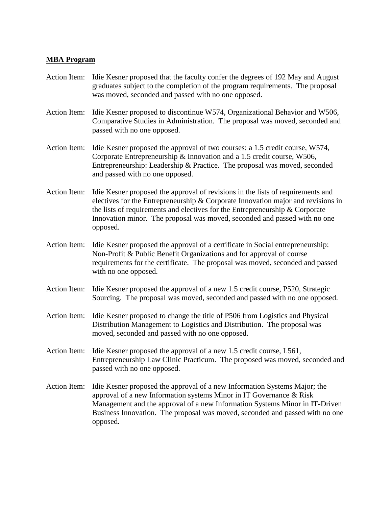#### **MBA Program**

- Action Item: Idie Kesner proposed that the faculty confer the degrees of 192 May and August graduates subject to the completion of the program requirements. The proposal was moved, seconded and passed with no one opposed.
- Action Item: Idie Kesner proposed to discontinue W574, Organizational Behavior and W506, Comparative Studies in Administration. The proposal was moved, seconded and passed with no one opposed.
- Action Item: Idie Kesner proposed the approval of two courses: a 1.5 credit course, W574, Corporate Entrepreneurship & Innovation and a 1.5 credit course, W506, Entrepreneurship: Leadership & Practice. The proposal was moved, seconded and passed with no one opposed.
- Action Item: Idie Kesner proposed the approval of revisions in the lists of requirements and electives for the Entrepreneurship & Corporate Innovation major and revisions in the lists of requirements and electives for the Entrepreneurship & Corporate Innovation minor. The proposal was moved, seconded and passed with no one opposed.
- Action Item: Idie Kesner proposed the approval of a certificate in Social entrepreneurship: Non-Profit & Public Benefit Organizations and for approval of course requirements for the certificate. The proposal was moved, seconded and passed with no one opposed.
- Action Item: Idie Kesner proposed the approval of a new 1.5 credit course, P520, Strategic Sourcing. The proposal was moved, seconded and passed with no one opposed.
- Action Item: Idie Kesner proposed to change the title of P506 from Logistics and Physical Distribution Management to Logistics and Distribution. The proposal was moved, seconded and passed with no one opposed.
- Action Item: Idie Kesner proposed the approval of a new 1.5 credit course, L561, Entrepreneurship Law Clinic Practicum. The proposed was moved, seconded and passed with no one opposed.
- Action Item: Idie Kesner proposed the approval of a new Information Systems Major; the approval of a new Information systems Minor in IT Governance & Risk Management and the approval of a new Information Systems Minor in IT-Driven Business Innovation. The proposal was moved, seconded and passed with no one opposed.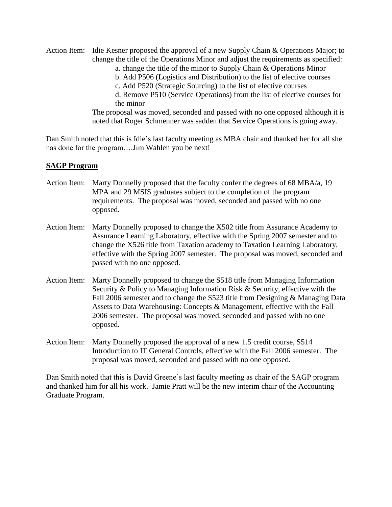- Action Item: Idie Kesner proposed the approval of a new Supply Chain & Operations Major; to change the title of the Operations Minor and adjust the requirements as specified:
	- a. change the title of the minor to Supply Chain & Operations Minor
	- b. Add P506 (Logistics and Distribution) to the list of elective courses
	- c. Add P520 (Strategic Sourcing) to the list of elective courses

d. Remove P510 (Service Operations) from the list of elective courses for the minor

The proposal was moved, seconded and passed with no one opposed although it is noted that Roger Schmenner was sadden that Service Operations is going away.

Dan Smith noted that this is Idie's last faculty meeting as MBA chair and thanked her for all she has done for the program….Jim Wahlen you be next!

### **SAGP Program**

- Action Item: Marty Donnelly proposed that the faculty confer the degrees of 68 MBA/a, 19 MPA and 29 MSIS graduates subject to the completion of the program requirements. The proposal was moved, seconded and passed with no one opposed.
- Action Item: Marty Donnelly proposed to change the X502 title from Assurance Academy to Assurance Learning Laboratory, effective with the Spring 2007 semester and to change the X526 title from Taxation academy to Taxation Learning Laboratory, effective with the Spring 2007 semester. The proposal was moved, seconded and passed with no one opposed.
- Action Item: Marty Donnelly proposed to change the S518 title from Managing Information Security & Policy to Managing Information Risk & Security, effective with the Fall 2006 semester and to change the S523 title from Designing & Managing Data Assets to Data Warehousing: Concepts & Management, effective with the Fall 2006 semester. The proposal was moved, seconded and passed with no one opposed.
- Action Item: Marty Donnelly proposed the approval of a new 1.5 credit course, S514 Introduction to IT General Controls, effective with the Fall 2006 semester. The proposal was moved, seconded and passed with no one opposed.

Dan Smith noted that this is David Greene's last faculty meeting as chair of the SAGP program and thanked him for all his work. Jamie Pratt will be the new interim chair of the Accounting Graduate Program.